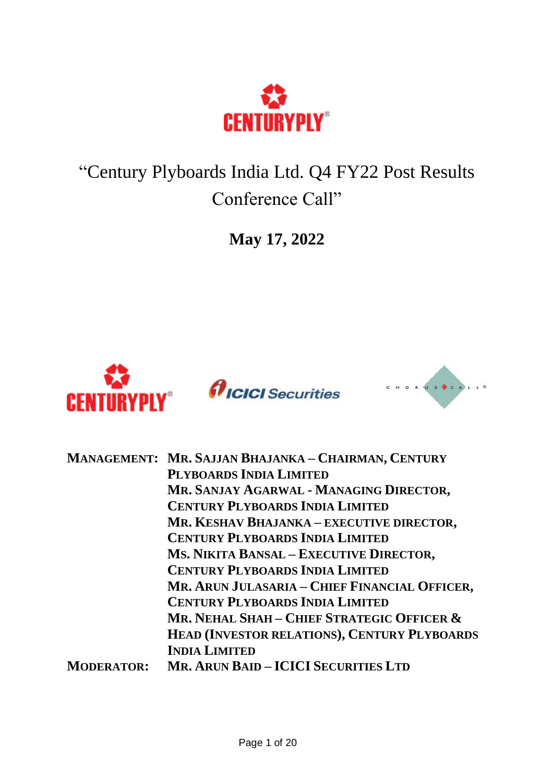

"Century Plyboards India Ltd. Q4 FY22 Post Results Conference Call"

**May 17, 2022**



|                   | MANAGEMENT: MR. SAJJAN BHAJANKA - CHAIRMAN, CENTURY |
|-------------------|-----------------------------------------------------|
|                   | PLYBOARDS INDIA LIMITED                             |
|                   | MR. SANJAY AGARWAL - MANAGING DIRECTOR,             |
|                   | <b>CENTURY PLYBOARDS INDIA LIMITED</b>              |
|                   | MR. KESHAV BHAJANKA - EXECUTIVE DIRECTOR,           |
|                   | <b>CENTURY PLYBOARDS INDIA LIMITED</b>              |
|                   | MS. NIKITA BANSAL - EXECUTIVE DIRECTOR,             |
|                   | <b>CENTURY PLYBOARDS INDIA LIMITED</b>              |
|                   | MR. ARUN JULASARIA - CHIEF FINANCIAL OFFICER,       |
|                   | <b>CENTURY PLYBOARDS INDIA LIMITED</b>              |
|                   | MR. NEHAL SHAH - CHIEF STRATEGIC OFFICER &          |
|                   | HEAD (INVESTOR RELATIONS), CENTURY PLYBOARDS        |
|                   | <b>INDIA LIMITED</b>                                |
| <b>MODERATOR:</b> | <b>MR. ARUN BAID - ICICI SECURITIES LTD</b>         |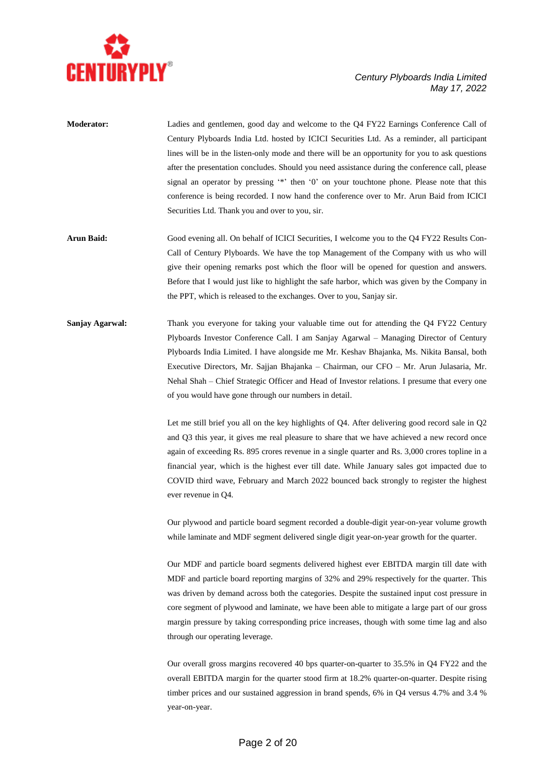

- **Moderator:** Ladies and gentlemen, good day and welcome to the Q4 FY22 Earnings Conference Call of Century Plyboards India Ltd. hosted by ICICI Securities Ltd. As a reminder, all participant lines will be in the listen-only mode and there will be an opportunity for you to ask questions after the presentation concludes. Should you need assistance during the conference call, please signal an operator by pressing '\*' then '0' on your touchtone phone. Please note that this conference is being recorded. I now hand the conference over to Mr. Arun Baid from ICICI Securities Ltd. Thank you and over to you, sir.
- **Arun Baid:** Good evening all. On behalf of ICICI Securities, I welcome you to the Q4 FY22 Results Con-Call of Century Plyboards. We have the top Management of the Company with us who will give their opening remarks post which the floor will be opened for question and answers. Before that I would just like to highlight the safe harbor, which was given by the Company in the PPT, which is released to the exchanges. Over to you, Sanjay sir.
- **Sanjay Agarwal:** Thank you everyone for taking your valuable time out for attending the O4 FY22 Century Plyboards Investor Conference Call. I am Sanjay Agarwal – Managing Director of Century Plyboards India Limited. I have alongside me Mr. Keshav Bhajanka, Ms. Nikita Bansal, both Executive Directors, Mr. Sajjan Bhajanka – Chairman, our CFO – Mr. Arun Julasaria, Mr. Nehal Shah – Chief Strategic Officer and Head of Investor relations. I presume that every one of you would have gone through our numbers in detail.

Let me still brief you all on the key highlights of Q4. After delivering good record sale in Q2 and Q3 this year, it gives me real pleasure to share that we have achieved a new record once again of exceeding Rs. 895 crores revenue in a single quarter and Rs. 3,000 crores topline in a financial year, which is the highest ever till date. While January sales got impacted due to COVID third wave, February and March 2022 bounced back strongly to register the highest ever revenue in Q4.

Our plywood and particle board segment recorded a double-digit year-on-year volume growth while laminate and MDF segment delivered single digit year-on-year growth for the quarter.

Our MDF and particle board segments delivered highest ever EBITDA margin till date with MDF and particle board reporting margins of 32% and 29% respectively for the quarter. This was driven by demand across both the categories. Despite the sustained input cost pressure in core segment of plywood and laminate, we have been able to mitigate a large part of our gross margin pressure by taking corresponding price increases, though with some time lag and also through our operating leverage.

Our overall gross margins recovered 40 bps quarter-on-quarter to 35.5% in Q4 FY22 and the overall EBITDA margin for the quarter stood firm at 18.2% quarter-on-quarter. Despite rising timber prices and our sustained aggression in brand spends, 6% in Q4 versus 4.7% and 3.4 % year-on-year.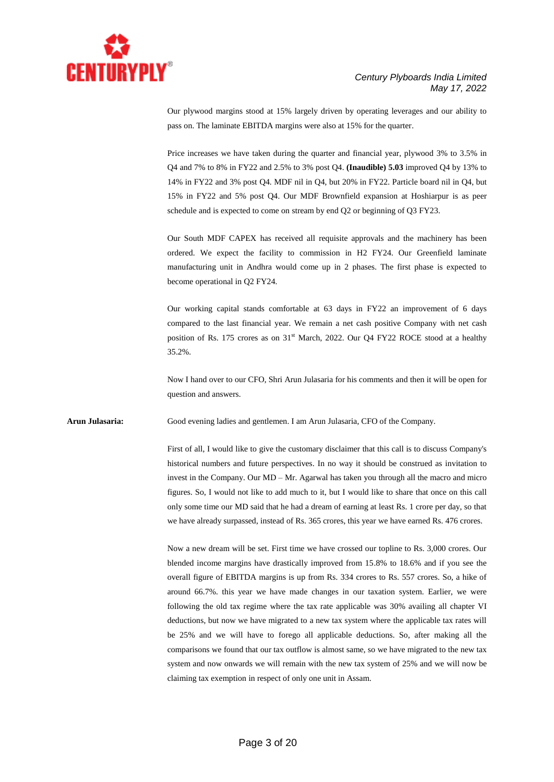

Our plywood margins stood at 15% largely driven by operating leverages and our ability to pass on. The laminate EBITDA margins were also at 15% for the quarter.

Price increases we have taken during the quarter and financial year, plywood 3% to 3.5% in Q4 and 7% to 8% in FY22 and 2.5% to 3% post Q4. **(Inaudible) 5.03** improved Q4 by 13% to 14% in FY22 and 3% post Q4. MDF nil in Q4, but 20% in FY22. Particle board nil in Q4, but 15% in FY22 and 5% post Q4. Our MDF Brownfield expansion at Hoshiarpur is as peer schedule and is expected to come on stream by end Q2 or beginning of Q3 FY23.

Our South MDF CAPEX has received all requisite approvals and the machinery has been ordered. We expect the facility to commission in H2 FY24. Our Greenfield laminate manufacturing unit in Andhra would come up in 2 phases. The first phase is expected to become operational in Q2 FY24.

Our working capital stands comfortable at 63 days in FY22 an improvement of 6 days compared to the last financial year. We remain a net cash positive Company with net cash position of Rs. 175 crores as on 31<sup>st</sup> March, 2022. Our Q4 FY22 ROCE stood at a healthy 35.2%.

Now I hand over to our CFO, Shri Arun Julasaria for his comments and then it will be open for question and answers.

**Arun Julasaria:** Good evening ladies and gentlemen. I am Arun Julasaria, CFO of the Company.

First of all, I would like to give the customary disclaimer that this call is to discuss Company's historical numbers and future perspectives. In no way it should be construed as invitation to invest in the Company. Our MD – Mr. Agarwal has taken you through all the macro and micro figures. So, I would not like to add much to it, but I would like to share that once on this call only some time our MD said that he had a dream of earning at least Rs. 1 crore per day, so that we have already surpassed, instead of Rs. 365 crores, this year we have earned Rs. 476 crores.

Now a new dream will be set. First time we have crossed our topline to Rs. 3,000 crores. Our blended income margins have drastically improved from 15.8% to 18.6% and if you see the overall figure of EBITDA margins is up from Rs. 334 crores to Rs. 557 crores. So, a hike of around 66.7%. this year we have made changes in our taxation system. Earlier, we were following the old tax regime where the tax rate applicable was 30% availing all chapter VI deductions, but now we have migrated to a new tax system where the applicable tax rates will be 25% and we will have to forego all applicable deductions. So, after making all the comparisons we found that our tax outflow is almost same, so we have migrated to the new tax system and now onwards we will remain with the new tax system of 25% and we will now be claiming tax exemption in respect of only one unit in Assam.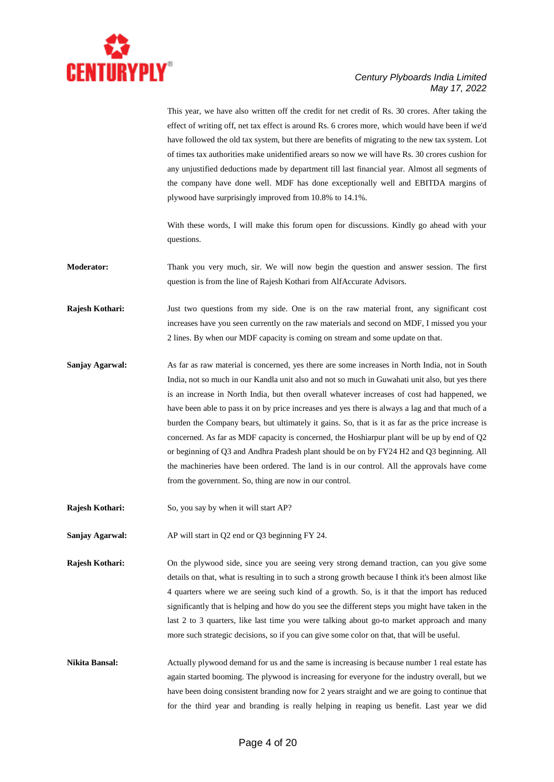

This year, we have also written off the credit for net credit of Rs. 30 crores. After taking the effect of writing off, net tax effect is around Rs. 6 crores more, which would have been if we'd have followed the old tax system, but there are benefits of migrating to the new tax system. Lot of times tax authorities make unidentified arears so now we will have Rs. 30 crores cushion for any unjustified deductions made by department till last financial year. Almost all segments of the company have done well. MDF has done exceptionally well and EBITDA margins of plywood have surprisingly improved from 10.8% to 14.1%.

With these words, I will make this forum open for discussions. Kindly go ahead with your questions.

**Moderator:** Thank you very much, sir. We will now begin the question and answer session. The first question is from the line of Rajesh Kothari from AlfAccurate Advisors.

**Rajesh Kothari:** Just two questions from my side. One is on the raw material front, any significant cost increases have you seen currently on the raw materials and second on MDF, I missed you your 2 lines. By when our MDF capacity is coming on stream and some update on that.

**Sanjay Agarwal:** As far as raw material is concerned, yes there are some increases in North India, not in South India, not so much in our Kandla unit also and not so much in Guwahati unit also, but yes there is an increase in North India, but then overall whatever increases of cost had happened, we have been able to pass it on by price increases and yes there is always a lag and that much of a burden the Company bears, but ultimately it gains. So, that is it as far as the price increase is concerned. As far as MDF capacity is concerned, the Hoshiarpur plant will be up by end of Q2 or beginning of Q3 and Andhra Pradesh plant should be on by FY24 H2 and Q3 beginning. All the machineries have been ordered. The land is in our control. All the approvals have come from the government. So, thing are now in our control.

**Rajesh Kothari:** So, you say by when it will start AP?

**Sanjay Agarwal:** AP will start in Q2 end or Q3 beginning FY 24.

**Rajesh Kothari:** On the plywood side, since you are seeing very strong demand traction, can you give some details on that, what is resulting in to such a strong growth because I think it's been almost like 4 quarters where we are seeing such kind of a growth. So, is it that the import has reduced significantly that is helping and how do you see the different steps you might have taken in the last 2 to 3 quarters, like last time you were talking about go-to market approach and many more such strategic decisions, so if you can give some color on that, that will be useful.

**Nikita Bansal:** Actually plywood demand for us and the same is increasing is because number 1 real estate has again started booming. The plywood is increasing for everyone for the industry overall, but we have been doing consistent branding now for 2 years straight and we are going to continue that for the third year and branding is really helping in reaping us benefit. Last year we did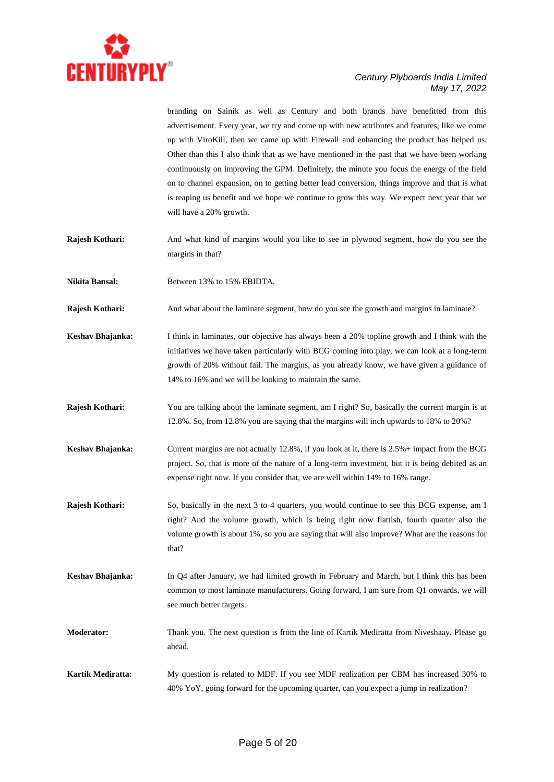

branding on Sainik as well as Century and both brands have benefitted from this advertisement. Every year, we try and come up with new attributes and features, like we come up with ViroKill, then we came up with Firewall and enhancing the product has helped us. Other than this I also think that as we have mentioned in the past that we have been working continuously on improving the GPM. Definitely, the minute you focus the energy of the field on to channel expansion, on to getting better lead conversion, things improve and that is what is reaping us benefit and we hope we continue to grow this way. We expect next year that we will have a 20% growth.

**Rajesh Kothari:** And what kind of margins would you like to see in plywood segment, how do you see the margins in that?

Nikita Bansal: Between 13% to 15% EBIDTA.

- **Rajesh Kothari:** And what about the laminate segment, how do you see the growth and margins in laminate?
- **Keshav Bhajanka:** I think in laminates, our objective has always been a 20% topline growth and I think with the initiatives we have taken particularly with BCG coming into play, we can look at a long-term growth of 20% without fail. The margins, as you already know, we have given a guidance of 14% to 16% and we will be looking to maintain the same.
- **Rajesh Kothari:** You are talking about the laminate segment, am I right? So, basically the current margin is at 12.8%. So, from 12.8% you are saying that the margins will inch upwards to 18% to 20%?
- **Keshav Bhajanka:** Current margins are not actually 12.8%, if you look at it, there is 2.5%+ impact from the BCG project. So, that is more of the nature of a long-term investment, but it is being debited as an expense right now. If you consider that, we are well within 14% to 16% range.
- **Rajesh Kothari:** So, basically in the next 3 to 4 quarters, you would continue to see this BCG expense, am I right? And the volume growth, which is being right now flattish, fourth quarter also the volume growth is about 1%, so you are saying that will also improve? What are the reasons for that?
- **Keshav Bhajanka:** In Q4 after January, we had limited growth in February and March, but I think this has been common to most laminate manufacturers. Going forward, I am sure from Q1 onwards, we will see much better targets.
- **Moderator:** Thank you. The next question is from the line of Kartik Mediratta from Niveshaay. Please go ahead.
- **Kartik Mediratta:** My question is related to MDF. If you see MDF realization per CBM has increased 30% to 40% YoY, going forward for the upcoming quarter, can you expect a jump in realization?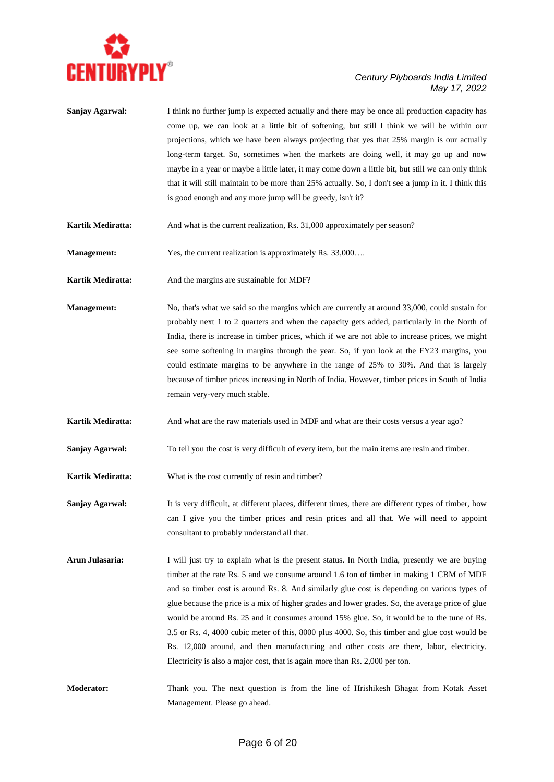

| Sanjay Agarwal:    | I think no further jump is expected actually and there may be once all production capacity has<br>come up, we can look at a little bit of softening, but still I think we will be within our<br>projections, which we have been always projecting that yes that 25% margin is our actually<br>long-term target. So, sometimes when the markets are doing well, it may go up and now<br>maybe in a year or maybe a little later, it may come down a little bit, but still we can only think<br>that it will still maintain to be more than 25% actually. So, I don't see a jump in it. I think this<br>is good enough and any more jump will be greedy, isn't it?                                                                                                          |
|--------------------|---------------------------------------------------------------------------------------------------------------------------------------------------------------------------------------------------------------------------------------------------------------------------------------------------------------------------------------------------------------------------------------------------------------------------------------------------------------------------------------------------------------------------------------------------------------------------------------------------------------------------------------------------------------------------------------------------------------------------------------------------------------------------|
| Kartik Mediratta:  | And what is the current realization, Rs. 31,000 approximately per season?                                                                                                                                                                                                                                                                                                                                                                                                                                                                                                                                                                                                                                                                                                 |
| <b>Management:</b> | Yes, the current realization is approximately Rs. 33,000                                                                                                                                                                                                                                                                                                                                                                                                                                                                                                                                                                                                                                                                                                                  |
| Kartik Mediratta:  | And the margins are sustainable for MDF?                                                                                                                                                                                                                                                                                                                                                                                                                                                                                                                                                                                                                                                                                                                                  |
| <b>Management:</b> | No, that's what we said so the margins which are currently at around 33,000, could sustain for<br>probably next 1 to 2 quarters and when the capacity gets added, particularly in the North of<br>India, there is increase in timber prices, which if we are not able to increase prices, we might<br>see some softening in margins through the year. So, if you look at the FY23 margins, you<br>could estimate margins to be anywhere in the range of 25% to 30%. And that is largely<br>because of timber prices increasing in North of India. However, timber prices in South of India<br>remain very-very much stable.                                                                                                                                               |
| Kartik Mediratta:  | And what are the raw materials used in MDF and what are their costs versus a year ago?                                                                                                                                                                                                                                                                                                                                                                                                                                                                                                                                                                                                                                                                                    |
| Sanjay Agarwal:    | To tell you the cost is very difficult of every item, but the main items are resin and timber.                                                                                                                                                                                                                                                                                                                                                                                                                                                                                                                                                                                                                                                                            |
| Kartik Mediratta:  | What is the cost currently of resin and timber?                                                                                                                                                                                                                                                                                                                                                                                                                                                                                                                                                                                                                                                                                                                           |
| Sanjay Agarwal:    | It is very difficult, at different places, different times, there are different types of timber, how<br>can I give you the timber prices and resin prices and all that. We will need to appoint<br>consultant to probably understand all that.                                                                                                                                                                                                                                                                                                                                                                                                                                                                                                                            |
| Arun Julasaria:    | I will just try to explain what is the present status. In North India, presently we are buying<br>timber at the rate Rs. 5 and we consume around 1.6 ton of timber in making 1 CBM of MDF<br>and so timber cost is around Rs. 8. And similarly glue cost is depending on various types of<br>glue because the price is a mix of higher grades and lower grades. So, the average price of glue<br>would be around Rs. 25 and it consumes around 15% glue. So, it would be to the tune of Rs.<br>3.5 or Rs. 4, 4000 cubic meter of this, 8000 plus 4000. So, this timber and glue cost would be<br>Rs. 12,000 around, and then manufacturing and other costs are there, labor, electricity.<br>Electricity is also a major cost, that is again more than Rs. 2,000 per ton. |

**Moderator:** Thank you. The next question is from the line of Hrishikesh Bhagat from Kotak Asset Management. Please go ahead.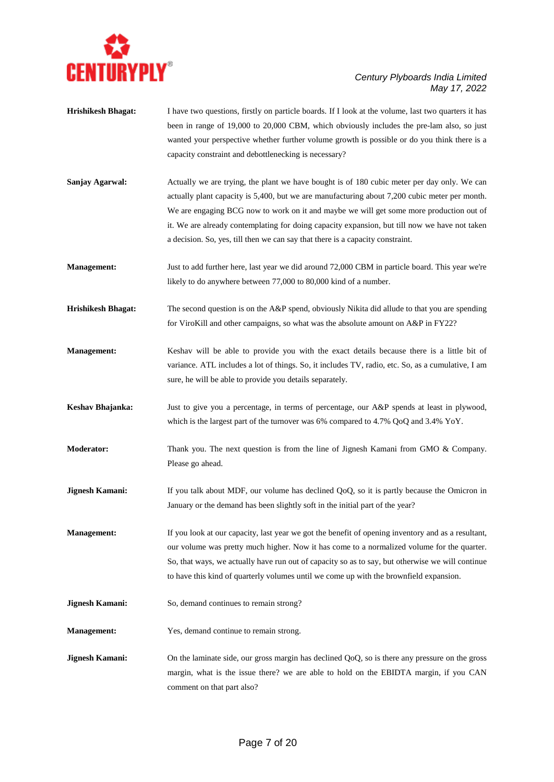

- **Hrishikesh Bhagat:** I have two questions, firstly on particle boards. If I look at the volume, last two quarters it has been in range of 19,000 to 20,000 CBM, which obviously includes the pre-lam also, so just wanted your perspective whether further volume growth is possible or do you think there is a capacity constraint and debottlenecking is necessary?
- **Sanjay Agarwal:** Actually we are trying, the plant we have bought is of 180 cubic meter per day only. We can actually plant capacity is 5,400, but we are manufacturing about 7,200 cubic meter per month. We are engaging BCG now to work on it and maybe we will get some more production out of it. We are already contemplating for doing capacity expansion, but till now we have not taken a decision. So, yes, till then we can say that there is a capacity constraint.
- **Management:** Just to add further here, last year we did around 72,000 CBM in particle board. This year we're likely to do anywhere between 77,000 to 80,000 kind of a number.
- **Hrishikesh Bhagat:** The second question is on the A&P spend, obviously Nikita did allude to that you are spending for ViroKill and other campaigns, so what was the absolute amount on A&P in FY22?
- **Management:** Keshav will be able to provide you with the exact details because there is a little bit of variance. ATL includes a lot of things. So, it includes TV, radio, etc. So, as a cumulative, I am sure, he will be able to provide you details separately.
- **Keshav Bhajanka:** Just to give you a percentage, in terms of percentage, our A&P spends at least in plywood, which is the largest part of the turnover was 6% compared to 4.7% QoQ and 3.4% YoY.
- **Moderator:** Thank you. The next question is from the line of Jignesh Kamani from GMO & Company. Please go ahead.
- **Jignesh Kamani:** If you talk about MDF, our volume has declined QoQ, so it is partly because the Omicron in January or the demand has been slightly soft in the initial part of the year?
- **Management:** If you look at our capacity, last year we got the benefit of opening inventory and as a resultant, our volume was pretty much higher. Now it has come to a normalized volume for the quarter. So, that ways, we actually have run out of capacity so as to say, but otherwise we will continue to have this kind of quarterly volumes until we come up with the brownfield expansion.
- **Jignesh Kamani:** So, demand continues to remain strong?
- **Management:** Yes, demand continue to remain strong.
- **Jignesh Kamani:** On the laminate side, our gross margin has declined QoQ, so is there any pressure on the gross margin, what is the issue there? we are able to hold on the EBIDTA margin, if you CAN comment on that part also?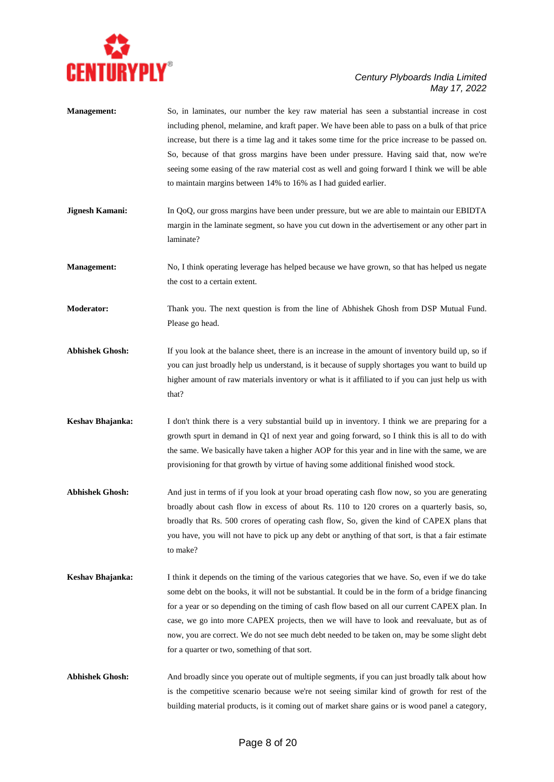

| <b>Management:</b>     | So, in laminates, our number the key raw material has seen a substantial increase in cost<br>including phenol, melamine, and kraft paper. We have been able to pass on a bulk of that price<br>increase, but there is a time lag and it takes some time for the price increase to be passed on.<br>So, because of that gross margins have been under pressure. Having said that, now we're<br>seeing some easing of the raw material cost as well and going forward I think we will be able<br>to maintain margins between 14% to 16% as I had guided earlier. |
|------------------------|----------------------------------------------------------------------------------------------------------------------------------------------------------------------------------------------------------------------------------------------------------------------------------------------------------------------------------------------------------------------------------------------------------------------------------------------------------------------------------------------------------------------------------------------------------------|
| <b>Jignesh Kamani:</b> | In QoQ, our gross margins have been under pressure, but we are able to maintain our EBIDTA<br>margin in the laminate segment, so have you cut down in the advertisement or any other part in<br>laminate?                                                                                                                                                                                                                                                                                                                                                      |
| <b>Management:</b>     | No, I think operating leverage has helped because we have grown, so that has helped us negate<br>the cost to a certain extent.                                                                                                                                                                                                                                                                                                                                                                                                                                 |
| <b>Moderator:</b>      | Thank you. The next question is from the line of Abhishek Ghosh from DSP Mutual Fund.<br>Please go head.                                                                                                                                                                                                                                                                                                                                                                                                                                                       |
| <b>Abhishek Ghosh:</b> | If you look at the balance sheet, there is an increase in the amount of inventory build up, so if<br>you can just broadly help us understand, is it because of supply shortages you want to build up<br>higher amount of raw materials inventory or what is it affiliated to if you can just help us with<br>that?                                                                                                                                                                                                                                             |
| Keshav Bhajanka:       | I don't think there is a very substantial build up in inventory. I think we are preparing for a<br>growth spurt in demand in Q1 of next year and going forward, so I think this is all to do with<br>the same. We basically have taken a higher AOP for this year and in line with the same, we are<br>provisioning for that growth by virtue of having some additional finished wood stock.                                                                                                                                                                   |
| <b>Abhishek Ghosh:</b> | And just in terms of if you look at your broad operating cash flow now, so you are generating<br>broadly about cash flow in excess of about Rs. 110 to 120 crores on a quarterly basis, so,<br>broadly that Rs. 500 crores of operating cash flow, So, given the kind of CAPEX plans that<br>you have, you will not have to pick up any debt or anything of that sort, is that a fair estimate<br>to make?                                                                                                                                                     |
| Keshav Bhajanka:       | I think it depends on the timing of the various categories that we have. So, even if we do take<br>some debt on the books, it will not be substantial. It could be in the form of a bridge financing<br>for a year or so depending on the timing of cash flow based on all our current CAPEX plan. In<br>case, we go into more CAPEX projects, then we will have to look and reevaluate, but as of<br>now, you are correct. We do not see much debt needed to be taken on, may be some slight debt<br>for a quarter or two, something of that sort.            |
| <b>Abhishek Ghosh:</b> | And broadly since you operate out of multiple segments, if you can just broadly talk about how<br>is the competitive scenario because we're not seeing similar kind of growth for rest of the<br>building material products, is it coming out of market share gains or is wood panel a category,                                                                                                                                                                                                                                                               |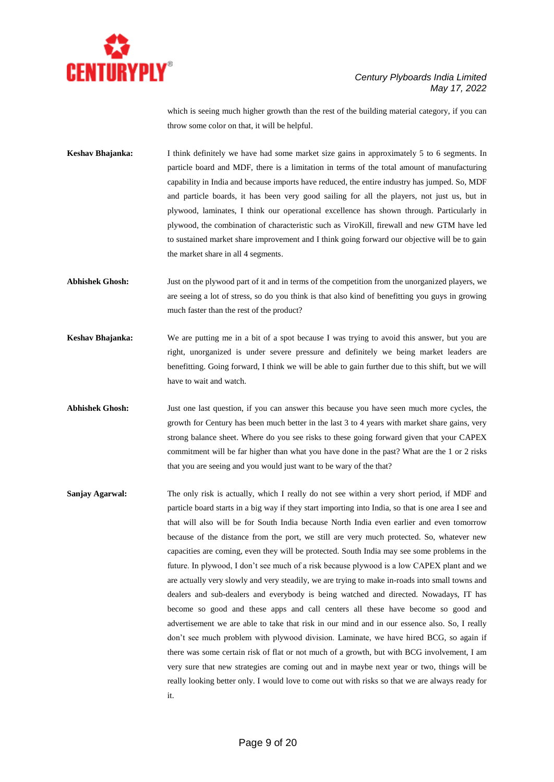

which is seeing much higher growth than the rest of the building material category, if you can throw some color on that, it will be helpful.

**Keshav Bhajanka:** I think definitely we have had some market size gains in approximately 5 to 6 segments. In particle board and MDF, there is a limitation in terms of the total amount of manufacturing capability in India and because imports have reduced, the entire industry has jumped. So, MDF and particle boards, it has been very good sailing for all the players, not just us, but in plywood, laminates, I think our operational excellence has shown through. Particularly in plywood, the combination of characteristic such as ViroKill, firewall and new GTM have led to sustained market share improvement and I think going forward our objective will be to gain the market share in all 4 segments.

**Abhishek Ghosh:** Just on the plywood part of it and in terms of the competition from the unorganized players, we are seeing a lot of stress, so do you think is that also kind of benefitting you guys in growing much faster than the rest of the product?

- **Keshav Bhajanka:** We are putting me in a bit of a spot because I was trying to avoid this answer, but you are right, unorganized is under severe pressure and definitely we being market leaders are benefitting. Going forward, I think we will be able to gain further due to this shift, but we will have to wait and watch.
- Abhishek Ghosh: Just one last question, if you can answer this because you have seen much more cycles, the growth for Century has been much better in the last 3 to 4 years with market share gains, very strong balance sheet. Where do you see risks to these going forward given that your CAPEX commitment will be far higher than what you have done in the past? What are the 1 or 2 risks that you are seeing and you would just want to be wary of the that?
- **Sanjay Agarwal:** The only risk is actually, which I really do not see within a very short period, if MDF and particle board starts in a big way if they start importing into India, so that is one area I see and that will also will be for South India because North India even earlier and even tomorrow because of the distance from the port, we still are very much protected. So, whatever new capacities are coming, even they will be protected. South India may see some problems in the future. In plywood, I don't see much of a risk because plywood is a low CAPEX plant and we are actually very slowly and very steadily, we are trying to make in-roads into small towns and dealers and sub-dealers and everybody is being watched and directed. Nowadays, IT has become so good and these apps and call centers all these have become so good and advertisement we are able to take that risk in our mind and in our essence also. So, I really don't see much problem with plywood division. Laminate, we have hired BCG, so again if there was some certain risk of flat or not much of a growth, but with BCG involvement, I am very sure that new strategies are coming out and in maybe next year or two, things will be really looking better only. I would love to come out with risks so that we are always ready for it.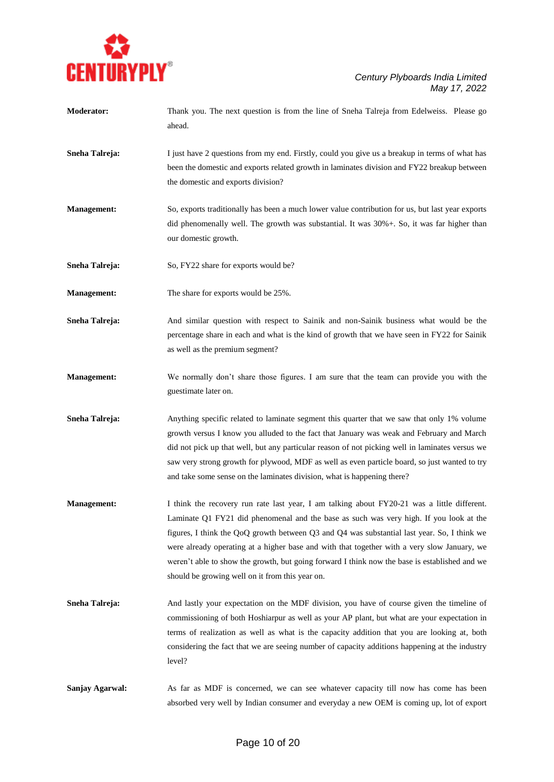

| <b>Moderator:</b>  | Thank you. The next question is from the line of Sneha Talreja from Edelweiss. Please go<br>ahead.                                                                                                                                                                                                                                                                                                                                                                                                                                      |
|--------------------|-----------------------------------------------------------------------------------------------------------------------------------------------------------------------------------------------------------------------------------------------------------------------------------------------------------------------------------------------------------------------------------------------------------------------------------------------------------------------------------------------------------------------------------------|
| Sneha Talreja:     | I just have 2 questions from my end. Firstly, could you give us a breakup in terms of what has<br>been the domestic and exports related growth in laminates division and FY22 breakup between<br>the domestic and exports division?                                                                                                                                                                                                                                                                                                     |
| <b>Management:</b> | So, exports traditionally has been a much lower value contribution for us, but last year exports<br>did phenomenally well. The growth was substantial. It was 30%+. So, it was far higher than<br>our domestic growth.                                                                                                                                                                                                                                                                                                                  |
| Sneha Talreja:     | So, FY22 share for exports would be?                                                                                                                                                                                                                                                                                                                                                                                                                                                                                                    |
| <b>Management:</b> | The share for exports would be 25%.                                                                                                                                                                                                                                                                                                                                                                                                                                                                                                     |
| Sneha Talreja:     | And similar question with respect to Sainik and non-Sainik business what would be the<br>percentage share in each and what is the kind of growth that we have seen in FY22 for Sainik<br>as well as the premium segment?                                                                                                                                                                                                                                                                                                                |
| <b>Management:</b> | We normally don't share those figures. I am sure that the team can provide you with the<br>guestimate later on.                                                                                                                                                                                                                                                                                                                                                                                                                         |
| Sneha Talreja:     | Anything specific related to laminate segment this quarter that we saw that only 1% volume<br>growth versus I know you alluded to the fact that January was weak and February and March<br>did not pick up that well, but any particular reason of not picking well in laminates versus we<br>saw very strong growth for plywood, MDF as well as even particle board, so just wanted to try<br>and take some sense on the laminates division, what is happening there?                                                                  |
| <b>Management:</b> | I think the recovery run rate last year, I am talking about FY20-21 was a little different.<br>Laminate Q1 FY21 did phenomenal and the base as such was very high. If you look at the<br>figures, I think the QoQ growth between Q3 and Q4 was substantial last year. So, I think we<br>were already operating at a higher base and with that together with a very slow January, we<br>weren't able to show the growth, but going forward I think now the base is established and we<br>should be growing well on it from this year on. |
| Sneha Talreja:     | And lastly your expectation on the MDF division, you have of course given the timeline of<br>commissioning of both Hoshiarpur as well as your AP plant, but what are your expectation in<br>terms of realization as well as what is the capacity addition that you are looking at, both<br>considering the fact that we are seeing number of capacity additions happening at the industry<br>level?                                                                                                                                     |

Sanjay Agarwal: As far as MDF is concerned, we can see whatever capacity till now has come has been absorbed very well by Indian consumer and everyday a new OEM is coming up, lot of export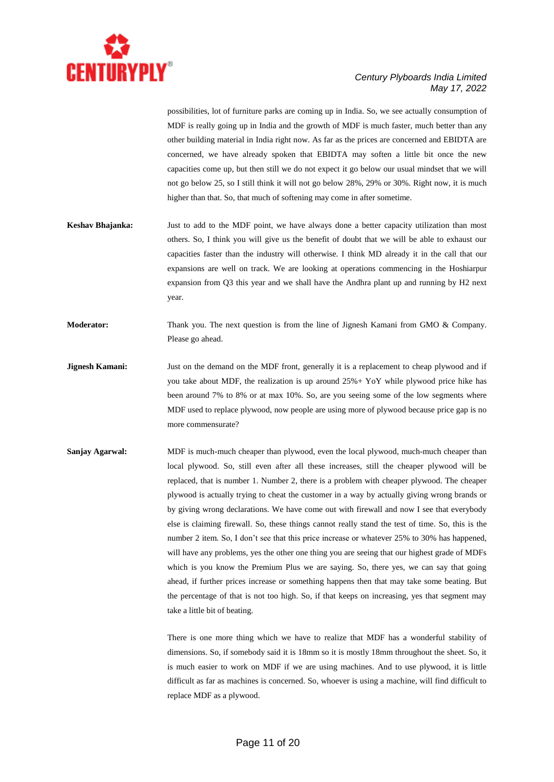

possibilities, lot of furniture parks are coming up in India. So, we see actually consumption of MDF is really going up in India and the growth of MDF is much faster, much better than any other building material in India right now. As far as the prices are concerned and EBIDTA are concerned, we have already spoken that EBIDTA may soften a little bit once the new capacities come up, but then still we do not expect it go below our usual mindset that we will not go below 25, so I still think it will not go below 28%, 29% or 30%. Right now, it is much higher than that. So, that much of softening may come in after sometime.

- **Keshav Bhajanka:** Just to add to the MDF point, we have always done a better capacity utilization than most others. So, I think you will give us the benefit of doubt that we will be able to exhaust our capacities faster than the industry will otherwise. I think MD already it in the call that our expansions are well on track. We are looking at operations commencing in the Hoshiarpur expansion from Q3 this year and we shall have the Andhra plant up and running by H2 next year.
- **Moderator:** Thank you. The next question is from the line of Jignesh Kamani from GMO & Company. Please go ahead.
- **Jignesh Kamani:** Just on the demand on the MDF front, generally it is a replacement to cheap plywood and if you take about MDF, the realization is up around 25%+ YoY while plywood price hike has been around 7% to 8% or at max 10%. So, are you seeing some of the low segments where MDF used to replace plywood, now people are using more of plywood because price gap is no more commensurate?
- **Sanjay Agarwal:** MDF is much-much cheaper than plywood, even the local plywood, much-much cheaper than local plywood. So, still even after all these increases, still the cheaper plywood will be replaced, that is number 1. Number 2, there is a problem with cheaper plywood. The cheaper plywood is actually trying to cheat the customer in a way by actually giving wrong brands or by giving wrong declarations. We have come out with firewall and now I see that everybody else is claiming firewall. So, these things cannot really stand the test of time. So, this is the number 2 item. So, I don't see that this price increase or whatever 25% to 30% has happened, will have any problems, yes the other one thing you are seeing that our highest grade of MDFs which is you know the Premium Plus we are saying. So, there yes, we can say that going ahead, if further prices increase or something happens then that may take some beating. But the percentage of that is not too high. So, if that keeps on increasing, yes that segment may take a little bit of beating.

There is one more thing which we have to realize that MDF has a wonderful stability of dimensions. So, if somebody said it is 18mm so it is mostly 18mm throughout the sheet. So, it is much easier to work on MDF if we are using machines. And to use plywood, it is little difficult as far as machines is concerned. So, whoever is using a machine, will find difficult to replace MDF as a plywood.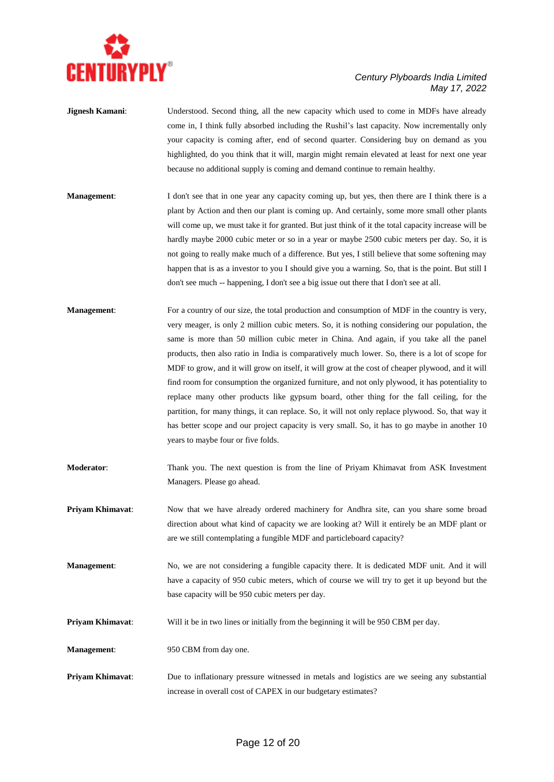

- **Jignesh Kamani:** Understood. Second thing, all the new capacity which used to come in MDFs have already come in, I think fully absorbed including the Rushil's last capacity. Now incrementally only your capacity is coming after, end of second quarter. Considering buy on demand as you highlighted, do you think that it will, margin might remain elevated at least for next one year because no additional supply is coming and demand continue to remain healthy.
- **Management:** I don't see that in one year any capacity coming up, but yes, then there are I think there is a plant by Action and then our plant is coming up. And certainly, some more small other plants will come up, we must take it for granted. But just think of it the total capacity increase will be hardly maybe 2000 cubic meter or so in a year or maybe 2500 cubic meters per day. So, it is not going to really make much of a difference. But yes, I still believe that some softening may happen that is as a investor to you I should give you a warning. So, that is the point. But still I don't see much -- happening, I don't see a big issue out there that I don't see at all.
- **Management**: For a country of our size, the total production and consumption of MDF in the country is very, very meager, is only 2 million cubic meters. So, it is nothing considering our population, the same is more than 50 million cubic meter in China. And again, if you take all the panel products, then also ratio in India is comparatively much lower. So, there is a lot of scope for MDF to grow, and it will grow on itself, it will grow at the cost of cheaper plywood, and it will find room for consumption the organized furniture, and not only plywood, it has potentiality to replace many other products like gypsum board, other thing for the fall ceiling, for the partition, for many things, it can replace. So, it will not only replace plywood. So, that way it has better scope and our project capacity is very small. So, it has to go maybe in another 10 years to maybe four or five folds.
- **Moderator**: Thank you. The next question is from the line of Priyam Khimavat from ASK Investment Managers. Please go ahead.
- **Priyam Khimavat**: Now that we have already ordered machinery for Andhra site, can you share some broad direction about what kind of capacity we are looking at? Will it entirely be an MDF plant or are we still contemplating a fungible MDF and particleboard capacity?
- **Management:** No, we are not considering a fungible capacity there. It is dedicated MDF unit. And it will have a capacity of 950 cubic meters, which of course we will try to get it up beyond but the base capacity will be 950 cubic meters per day.
- **Priyam Khimavat:** Will it be in two lines or initially from the beginning it will be 950 CBM per day.
- **Management:** 950 CBM from day one.
- **Priyam Khimavat**: Due to inflationary pressure witnessed in metals and logistics are we seeing any substantial increase in overall cost of CAPEX in our budgetary estimates?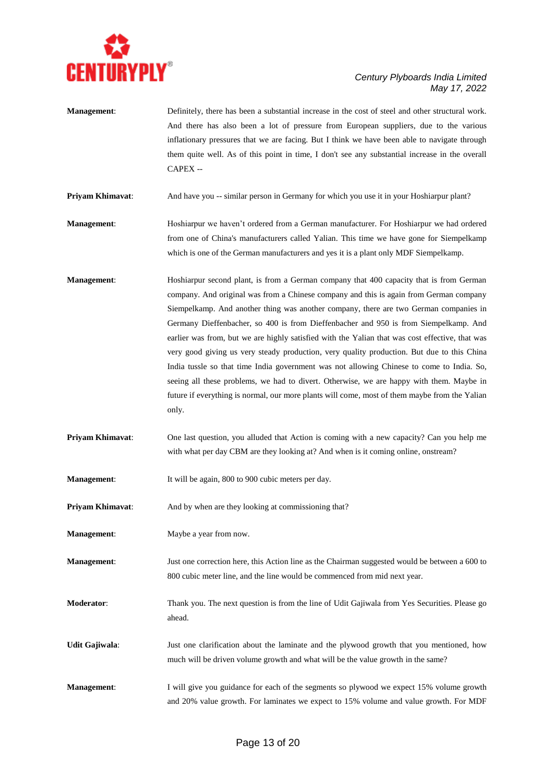

**Management**: Definitely, there has been a substantial increase in the cost of steel and other structural work. And there has also been a lot of pressure from European suppliers, due to the various inflationary pressures that we are facing. But I think we have been able to navigate through them quite well. As of this point in time, I don't see any substantial increase in the overall CAPEX --

**Priyam Khimavat**: And have you -- similar person in Germany for which you use it in your Hoshiarpur plant?

**Management**: Hoshiarpur we haven't ordered from a German manufacturer. For Hoshiarpur we had ordered from one of China's manufacturers called Yalian. This time we have gone for Siempelkamp which is one of the German manufacturers and yes it is a plant only MDF Siempelkamp.

- **Management**: Hoshiarpur second plant, is from a German company that 400 capacity that is from German company. And original was from a Chinese company and this is again from German company Siempelkamp. And another thing was another company, there are two German companies in Germany Dieffenbacher, so 400 is from Dieffenbacher and 950 is from Siempelkamp. And earlier was from, but we are highly satisfied with the Yalian that was cost effective, that was very good giving us very steady production, very quality production. But due to this China India tussle so that time India government was not allowing Chinese to come to India. So, seeing all these problems, we had to divert. Otherwise, we are happy with them. Maybe in future if everything is normal, our more plants will come, most of them maybe from the Yalian only.
- **Priyam Khimavat:** One last question, you alluded that Action is coming with a new capacity? Can you help me with what per day CBM are they looking at? And when is it coming online, onstream?

**Management:** It will be again, 800 to 900 cubic meters per day.

**Priyam Khimavat:** And by when are they looking at commissioning that?

**Management:** Maybe a year from now.

**Management:** Just one correction here, this Action line as the Chairman suggested would be between a 600 to 800 cubic meter line, and the line would be commenced from mid next year.

**Moderator**: Thank you. The next question is from the line of Udit Gajiwala from Yes Securities. Please go ahead.

**Udit Gajiwala**: Just one clarification about the laminate and the plywood growth that you mentioned, how much will be driven volume growth and what will be the value growth in the same?

**Management:** I will give you guidance for each of the segments so plywood we expect 15% volume growth and 20% value growth. For laminates we expect to 15% volume and value growth. For MDF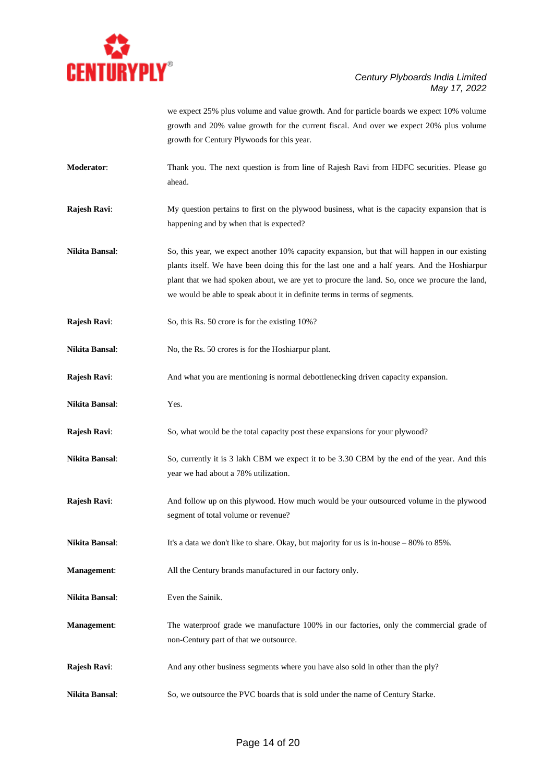

we expect 25% plus volume and value growth. And for particle boards we expect 10% volume growth and 20% value growth for the current fiscal. And over we expect 20% plus volume growth for Century Plywoods for this year.

- **Moderator**: Thank you. The next question is from line of Rajesh Ravi from HDFC securities. Please go ahead.
- **Rajesh Ravi:** My question pertains to first on the plywood business, what is the capacity expansion that is happening and by when that is expected?
- **Nikita Bansal**: So, this year, we expect another 10% capacity expansion, but that will happen in our existing plants itself. We have been doing this for the last one and a half years. And the Hoshiarpur plant that we had spoken about, we are yet to procure the land. So, once we procure the land, we would be able to speak about it in definite terms in terms of segments.
- **Rajesh Ravi:** So, this Rs. 50 crore is for the existing 10%?
- **Nikita Bansal**: No, the Rs. 50 crores is for the Hoshiarpur plant.
- **Rajesh Ravi:** And what you are mentioning is normal debottlenecking driven capacity expansion.
- **Nikita Bansal**: Yes.
- **Rajesh Ravi:** So, what would be the total capacity post these expansions for your plywood?
- **Nikita Bansal:** So, currently it is 3 lakh CBM we expect it to be 3.30 CBM by the end of the year. And this year we had about a 78% utilization.
- **Rajesh Ravi:** And follow up on this plywood. How much would be your outsourced volume in the plywood segment of total volume or revenue?
- **Nikita Bansal:** It's a data we don't like to share. Okay, but majority for us is in-house 80% to 85%.
- **Management**: All the Century brands manufactured in our factory only.
- **Nikita Bansal**: Even the Sainik.
- **Management**: The waterproof grade we manufacture 100% in our factories, only the commercial grade of non-Century part of that we outsource.
- **Rajesh Ravi:** And any other business segments where you have also sold in other than the ply?
- **Nikita Bansal**: So, we outsource the PVC boards that is sold under the name of Century Starke.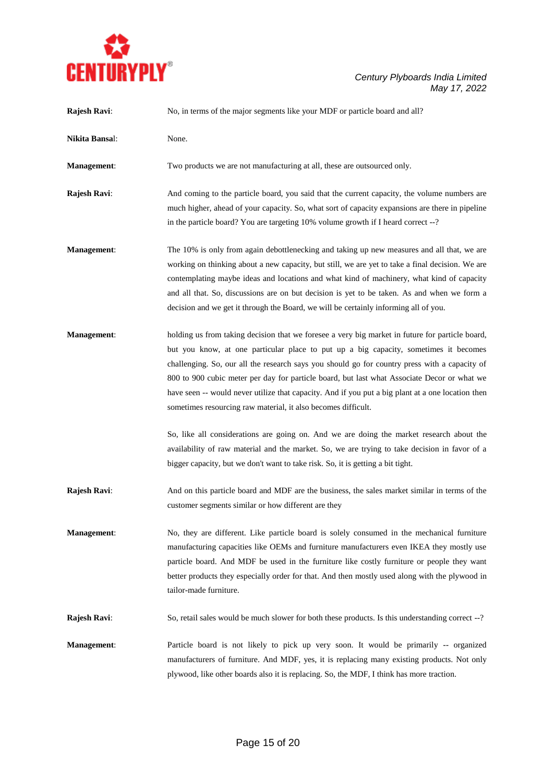

## *Century Plyboards India Limited May 17, 2022*

| Rajesh Ravi:       | No, in terms of the major segments like your MDF or particle board and all?                                                                                                                                                                                                                                                                                                                                                                                                                                                                                   |
|--------------------|---------------------------------------------------------------------------------------------------------------------------------------------------------------------------------------------------------------------------------------------------------------------------------------------------------------------------------------------------------------------------------------------------------------------------------------------------------------------------------------------------------------------------------------------------------------|
| Nikita Bansal:     | None.                                                                                                                                                                                                                                                                                                                                                                                                                                                                                                                                                         |
| Management:        | Two products we are not manufacturing at all, these are outsourced only.                                                                                                                                                                                                                                                                                                                                                                                                                                                                                      |
| Rajesh Ravi:       | And coming to the particle board, you said that the current capacity, the volume numbers are<br>much higher, ahead of your capacity. So, what sort of capacity expansions are there in pipeline<br>in the particle board? You are targeting 10% volume growth if I heard correct --?                                                                                                                                                                                                                                                                          |
| <b>Management:</b> | The 10% is only from again debottlenecking and taking up new measures and all that, we are<br>working on thinking about a new capacity, but still, we are yet to take a final decision. We are<br>contemplating maybe ideas and locations and what kind of machinery, what kind of capacity<br>and all that. So, discussions are on but decision is yet to be taken. As and when we form a<br>decision and we get it through the Board, we will be certainly informing all of you.                                                                            |
| <b>Management:</b> | holding us from taking decision that we foresee a very big market in future for particle board,<br>but you know, at one particular place to put up a big capacity, sometimes it becomes<br>challenging. So, our all the research says you should go for country press with a capacity of<br>800 to 900 cubic meter per day for particle board, but last what Associate Decor or what we<br>have seen -- would never utilize that capacity. And if you put a big plant at a one location then<br>sometimes resourcing raw material, it also becomes difficult. |
|                    | So, like all considerations are going on. And we are doing the market research about the<br>availability of raw material and the market. So, we are trying to take decision in favor of a<br>bigger capacity, but we don't want to take risk. So, it is getting a bit tight.                                                                                                                                                                                                                                                                                  |
| Rajesh Ravi:       | And on this particle board and MDF are the business, the sales market similar in terms of the<br>customer segments similar or how different are they                                                                                                                                                                                                                                                                                                                                                                                                          |
| Management:        | No, they are different. Like particle board is solely consumed in the mechanical furniture<br>manufacturing capacities like OEMs and furniture manufacturers even IKEA they mostly use<br>particle board. And MDF be used in the furniture like costly furniture or people they want<br>better products they especially order for that. And then mostly used along with the plywood in<br>tailor-made furniture.                                                                                                                                              |
| Rajesh Ravi:       | So, retail sales would be much slower for both these products. Is this understanding correct --?                                                                                                                                                                                                                                                                                                                                                                                                                                                              |
| Management:        | Particle board is not likely to pick up very soon. It would be primarily -- organized<br>manufacturers of furniture. And MDF, yes, it is replacing many existing products. Not only<br>plywood, like other boards also it is replacing. So, the MDF, I think has more traction.                                                                                                                                                                                                                                                                               |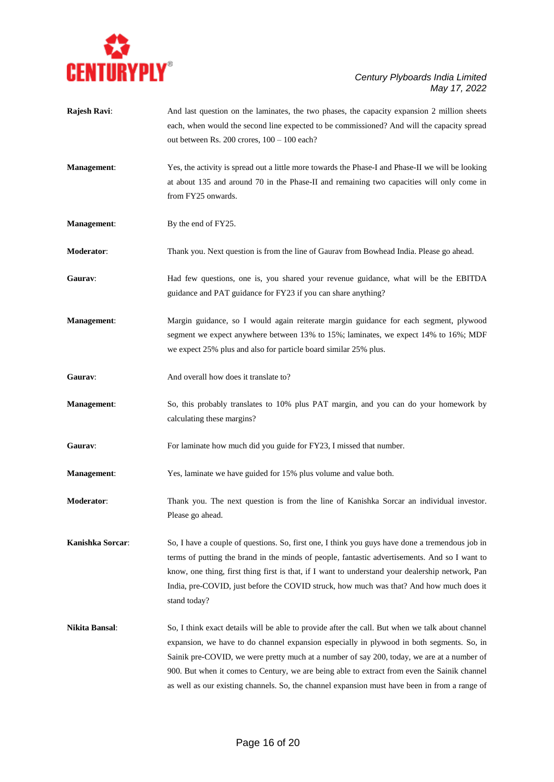

| Rajesh Ravi:       | And last question on the laminates, the two phases, the capacity expansion 2 million sheets<br>each, when would the second line expected to be commissioned? And will the capacity spread<br>out between Rs. 200 crores, $100 - 100$ each?                                                                                                                                                                                                                                                   |
|--------------------|----------------------------------------------------------------------------------------------------------------------------------------------------------------------------------------------------------------------------------------------------------------------------------------------------------------------------------------------------------------------------------------------------------------------------------------------------------------------------------------------|
| Management:        | Yes, the activity is spread out a little more towards the Phase-I and Phase-II we will be looking<br>at about 135 and around 70 in the Phase-II and remaining two capacities will only come in<br>from FY25 onwards.                                                                                                                                                                                                                                                                         |
| Management:        | By the end of FY25.                                                                                                                                                                                                                                                                                                                                                                                                                                                                          |
| Moderator:         | Thank you. Next question is from the line of Gaurav from Bowhead India. Please go ahead.                                                                                                                                                                                                                                                                                                                                                                                                     |
| Gaurav:            | Had few questions, one is, you shared your revenue guidance, what will be the EBITDA<br>guidance and PAT guidance for FY23 if you can share anything?                                                                                                                                                                                                                                                                                                                                        |
| Management:        | Margin guidance, so I would again reiterate margin guidance for each segment, plywood<br>segment we expect anywhere between 13% to 15%; laminates, we expect 14% to 16%; MDF<br>we expect 25% plus and also for particle board similar 25% plus.                                                                                                                                                                                                                                             |
| Gaurav:            | And overall how does it translate to?                                                                                                                                                                                                                                                                                                                                                                                                                                                        |
| Management:        | So, this probably translates to 10% plus PAT margin, and you can do your homework by<br>calculating these margins?                                                                                                                                                                                                                                                                                                                                                                           |
| Gaurav:            | For laminate how much did you guide for FY23, I missed that number.                                                                                                                                                                                                                                                                                                                                                                                                                          |
| <b>Management:</b> | Yes, laminate we have guided for 15% plus volume and value both.                                                                                                                                                                                                                                                                                                                                                                                                                             |
| Moderator:         | Thank you. The next question is from the line of Kanishka Sorcar an individual investor.<br>Please go ahead.                                                                                                                                                                                                                                                                                                                                                                                 |
| Kanishka Sorcar:   | So, I have a couple of questions. So, first one, I think you guys have done a tremendous job in<br>terms of putting the brand in the minds of people, fantastic advertisements. And so I want to<br>know, one thing, first thing first is that, if I want to understand your dealership network, Pan<br>India, pre-COVID, just before the COVID struck, how much was that? And how much does it<br>stand today?                                                                              |
| Nikita Bansal:     | So, I think exact details will be able to provide after the call. But when we talk about channel<br>expansion, we have to do channel expansion especially in plywood in both segments. So, in<br>Sainik pre-COVID, we were pretty much at a number of say 200, today, we are at a number of<br>900. But when it comes to Century, we are being able to extract from even the Sainik channel<br>as well as our existing channels. So, the channel expansion must have been in from a range of |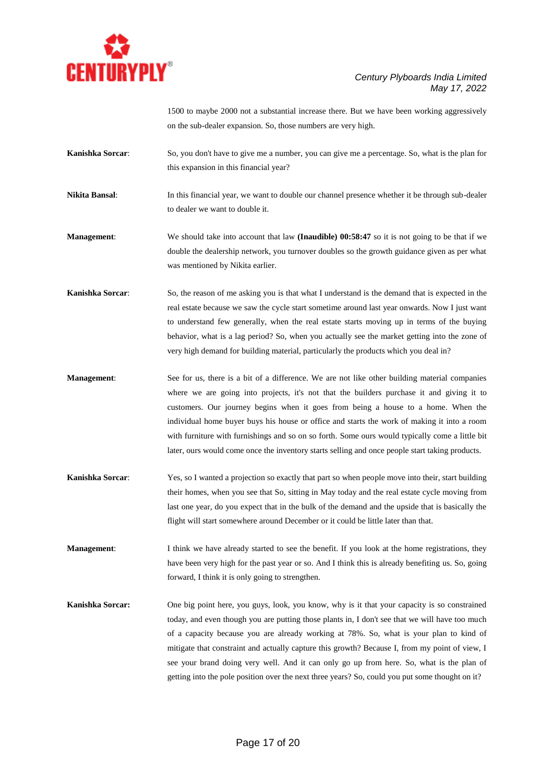

1500 to maybe 2000 not a substantial increase there. But we have been working aggressively on the sub-dealer expansion. So, those numbers are very high.

- **Kanishka Sorcar**: So, you don't have to give me a number, you can give me a percentage. So, what is the plan for this expansion in this financial year?
- **Nikita Bansal**: In this financial year, we want to double our channel presence whether it be through sub-dealer to dealer we want to double it.

**Management:** We should take into account that law **(Inaudible) 00:58:47** so it is not going to be that if we double the dealership network, you turnover doubles so the growth guidance given as per what was mentioned by Nikita earlier.

- **Kanishka Sorcar**: So, the reason of me asking you is that what I understand is the demand that is expected in the real estate because we saw the cycle start sometime around last year onwards. Now I just want to understand few generally, when the real estate starts moving up in terms of the buying behavior, what is a lag period? So, when you actually see the market getting into the zone of very high demand for building material, particularly the products which you deal in?
- **Management:** See for us, there is a bit of a difference. We are not like other building material companies where we are going into projects, it's not that the builders purchase it and giving it to customers. Our journey begins when it goes from being a house to a home. When the individual home buyer buys his house or office and starts the work of making it into a room with furniture with furnishings and so on so forth. Some ours would typically come a little bit later, ours would come once the inventory starts selling and once people start taking products.
- **Kanishka Sorcar**: Yes, so I wanted a projection so exactly that part so when people move into their, start building their homes, when you see that So, sitting in May today and the real estate cycle moving from last one year, do you expect that in the bulk of the demand and the upside that is basically the flight will start somewhere around December or it could be little later than that.

**Management:** I think we have already started to see the benefit. If you look at the home registrations, they have been very high for the past year or so. And I think this is already benefiting us. So, going forward, I think it is only going to strengthen.

**Kanishka Sorcar:** One big point here, you guys, look, you know, why is it that your capacity is so constrained today, and even though you are putting those plants in, I don't see that we will have too much of a capacity because you are already working at 78%. So, what is your plan to kind of mitigate that constraint and actually capture this growth? Because I, from my point of view, I see your brand doing very well. And it can only go up from here. So, what is the plan of getting into the pole position over the next three years? So, could you put some thought on it?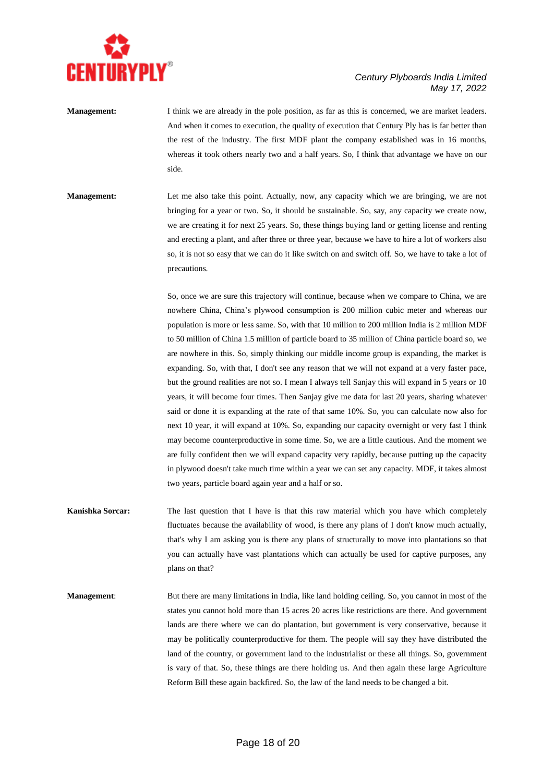

**Management:** I think we are already in the pole position, as far as this is concerned, we are market leaders. And when it comes to execution, the quality of execution that Century Ply has is far better than the rest of the industry. The first MDF plant the company established was in 16 months, whereas it took others nearly two and a half years. So, I think that advantage we have on our side.

**Management:** Let me also take this point. Actually, now, any capacity which we are bringing, we are not bringing for a year or two. So, it should be sustainable. So, say, any capacity we create now, we are creating it for next 25 years. So, these things buying land or getting license and renting and erecting a plant, and after three or three year, because we have to hire a lot of workers also so, it is not so easy that we can do it like switch on and switch off. So, we have to take a lot of precautions.

> So, once we are sure this trajectory will continue, because when we compare to China, we are nowhere China, China's plywood consumption is 200 million cubic meter and whereas our population is more or less same. So, with that 10 million to 200 million India is 2 million MDF to 50 million of China 1.5 million of particle board to 35 million of China particle board so, we are nowhere in this. So, simply thinking our middle income group is expanding, the market is expanding. So, with that, I don't see any reason that we will not expand at a very faster pace, but the ground realities are not so. I mean I always tell Sanjay this will expand in 5 years or 10 years, it will become four times. Then Sanjay give me data for last 20 years, sharing whatever said or done it is expanding at the rate of that same 10%. So, you can calculate now also for next 10 year, it will expand at 10%. So, expanding our capacity overnight or very fast I think may become counterproductive in some time. So, we are a little cautious. And the moment we are fully confident then we will expand capacity very rapidly, because putting up the capacity in plywood doesn't take much time within a year we can set any capacity. MDF, it takes almost two years, particle board again year and a half or so.

**Kanishka Sorcar:** The last question that I have is that this raw material which you have which completely fluctuates because the availability of wood, is there any plans of I don't know much actually, that's why I am asking you is there any plans of structurally to move into plantations so that you can actually have vast plantations which can actually be used for captive purposes, any plans on that?

**Management:** But there are many limitations in India, like land holding ceiling. So, you cannot in most of the states you cannot hold more than 15 acres 20 acres like restrictions are there. And government lands are there where we can do plantation, but government is very conservative, because it may be politically counterproductive for them. The people will say they have distributed the land of the country, or government land to the industrialist or these all things. So, government is vary of that. So, these things are there holding us. And then again these large Agriculture Reform Bill these again backfired. So, the law of the land needs to be changed a bit.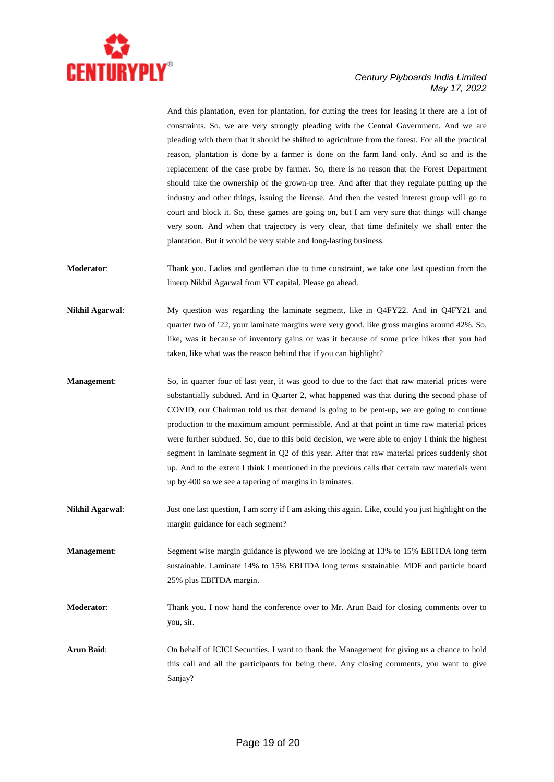

And this plantation, even for plantation, for cutting the trees for leasing it there are a lot of constraints. So, we are very strongly pleading with the Central Government. And we are pleading with them that it should be shifted to agriculture from the forest. For all the practical reason, plantation is done by a farmer is done on the farm land only. And so and is the replacement of the case probe by farmer. So, there is no reason that the Forest Department should take the ownership of the grown-up tree. And after that they regulate putting up the industry and other things, issuing the license. And then the vested interest group will go to court and block it. So, these games are going on, but I am very sure that things will change very soon. And when that trajectory is very clear, that time definitely we shall enter the plantation. But it would be very stable and long-lasting business.

**Moderator**: Thank you. Ladies and gentleman due to time constraint, we take one last question from the lineup Nikhil Agarwal from VT capital. Please go ahead.

- **Nikhil Agarwal**: My question was regarding the laminate segment, like in Q4FY22. And in Q4FY21 and quarter two of '22, your laminate margins were very good, like gross margins around 42%. So, like, was it because of inventory gains or was it because of some price hikes that you had taken, like what was the reason behind that if you can highlight?
- **Management**: So, in quarter four of last year, it was good to due to the fact that raw material prices were substantially subdued. And in Quarter 2, what happened was that during the second phase of COVID, our Chairman told us that demand is going to be pent-up, we are going to continue production to the maximum amount permissible. And at that point in time raw material prices were further subdued. So, due to this bold decision, we were able to enjoy I think the highest segment in laminate segment in Q2 of this year. After that raw material prices suddenly shot up. And to the extent I think I mentioned in the previous calls that certain raw materials went up by 400 so we see a tapering of margins in laminates.
- **Nikhil Agarwal:** Just one last question, I am sorry if I am asking this again. Like, could you just highlight on the margin guidance for each segment?

**Management**: Segment wise margin guidance is plywood we are looking at 13% to 15% EBITDA long term sustainable. Laminate 14% to 15% EBITDA long terms sustainable. MDF and particle board 25% plus EBITDA margin.

**Moderator**: Thank you. I now hand the conference over to Mr. Arun Baid for closing comments over to you, sir.

**Arun Baid**: On behalf of ICICI Securities, I want to thank the Management for giving us a chance to hold this call and all the participants for being there. Any closing comments, you want to give Sanjay?